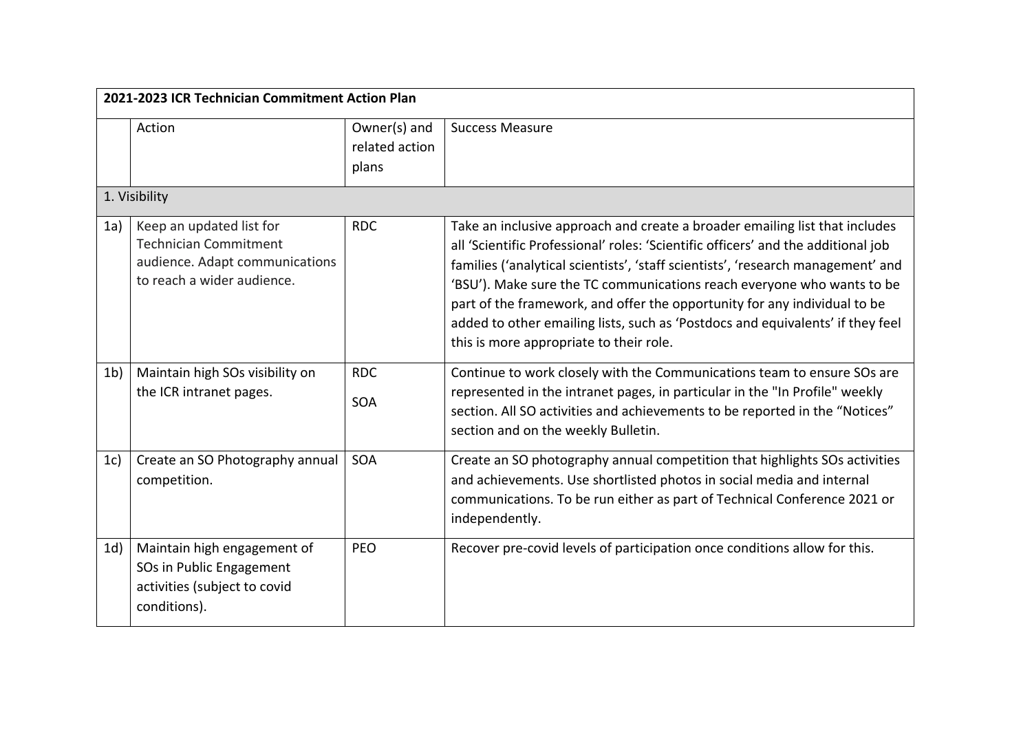| 2021-2023 ICR Technician Commitment Action Plan |                                                                                                                          |                                         |                                                                                                                                                                                                                                                                                                                                                                                                                                                                                                                                          |
|-------------------------------------------------|--------------------------------------------------------------------------------------------------------------------------|-----------------------------------------|------------------------------------------------------------------------------------------------------------------------------------------------------------------------------------------------------------------------------------------------------------------------------------------------------------------------------------------------------------------------------------------------------------------------------------------------------------------------------------------------------------------------------------------|
|                                                 | Action                                                                                                                   | Owner(s) and<br>related action<br>plans | <b>Success Measure</b>                                                                                                                                                                                                                                                                                                                                                                                                                                                                                                                   |
|                                                 | 1. Visibility                                                                                                            |                                         |                                                                                                                                                                                                                                                                                                                                                                                                                                                                                                                                          |
| 1a)                                             | Keep an updated list for<br><b>Technician Commitment</b><br>audience. Adapt communications<br>to reach a wider audience. | <b>RDC</b>                              | Take an inclusive approach and create a broader emailing list that includes<br>all 'Scientific Professional' roles: 'Scientific officers' and the additional job<br>families ('analytical scientists', 'staff scientists', 'research management' and<br>'BSU'). Make sure the TC communications reach everyone who wants to be<br>part of the framework, and offer the opportunity for any individual to be<br>added to other emailing lists, such as 'Postdocs and equivalents' if they feel<br>this is more appropriate to their role. |
| 1 <sub>b</sub>                                  | Maintain high SOs visibility on<br>the ICR intranet pages.                                                               | <b>RDC</b><br>SOA                       | Continue to work closely with the Communications team to ensure SOs are<br>represented in the intranet pages, in particular in the "In Profile" weekly<br>section. All SO activities and achievements to be reported in the "Notices"<br>section and on the weekly Bulletin.                                                                                                                                                                                                                                                             |
| 1c)                                             | Create an SO Photography annual<br>competition.                                                                          | <b>SOA</b>                              | Create an SO photography annual competition that highlights SOs activities<br>and achievements. Use shortlisted photos in social media and internal<br>communications. To be run either as part of Technical Conference 2021 or<br>independently.                                                                                                                                                                                                                                                                                        |
| 1d)                                             | Maintain high engagement of<br>SOs in Public Engagement<br>activities (subject to covid<br>conditions).                  | <b>PEO</b>                              | Recover pre-covid levels of participation once conditions allow for this.                                                                                                                                                                                                                                                                                                                                                                                                                                                                |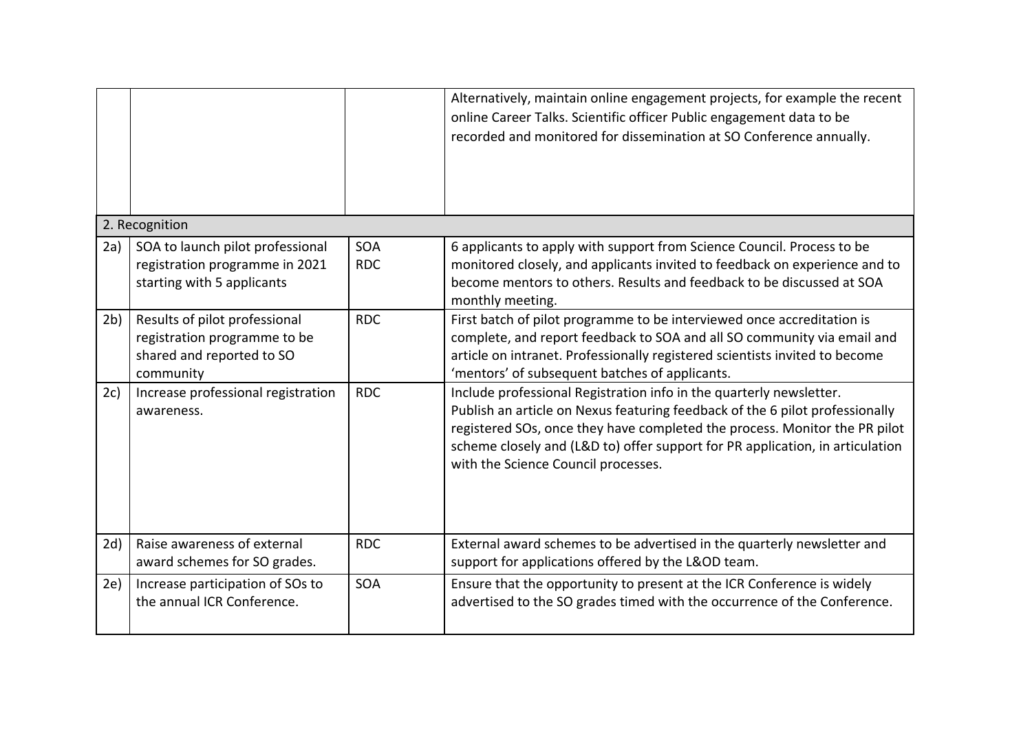|     |                                                                                                         |                   | Alternatively, maintain online engagement projects, for example the recent<br>online Career Talks. Scientific officer Public engagement data to be<br>recorded and monitored for dissemination at SO Conference annually.                                                                                                                                 |
|-----|---------------------------------------------------------------------------------------------------------|-------------------|-----------------------------------------------------------------------------------------------------------------------------------------------------------------------------------------------------------------------------------------------------------------------------------------------------------------------------------------------------------|
|     | 2. Recognition                                                                                          |                   |                                                                                                                                                                                                                                                                                                                                                           |
| 2a) | SOA to launch pilot professional<br>registration programme in 2021<br>starting with 5 applicants        | SOA<br><b>RDC</b> | 6 applicants to apply with support from Science Council. Process to be<br>monitored closely, and applicants invited to feedback on experience and to<br>become mentors to others. Results and feedback to be discussed at SOA<br>monthly meeting.                                                                                                         |
| 2b) | Results of pilot professional<br>registration programme to be<br>shared and reported to SO<br>community | <b>RDC</b>        | First batch of pilot programme to be interviewed once accreditation is<br>complete, and report feedback to SOA and all SO community via email and<br>article on intranet. Professionally registered scientists invited to become<br>'mentors' of subsequent batches of applicants.                                                                        |
| 2c) | Increase professional registration<br>awareness.                                                        | <b>RDC</b>        | Include professional Registration info in the quarterly newsletter.<br>Publish an article on Nexus featuring feedback of the 6 pilot professionally<br>registered SOs, once they have completed the process. Monitor the PR pilot<br>scheme closely and (L&D to) offer support for PR application, in articulation<br>with the Science Council processes. |
| 2d) | Raise awareness of external<br>award schemes for SO grades.                                             | <b>RDC</b>        | External award schemes to be advertised in the quarterly newsletter and<br>support for applications offered by the L&OD team.                                                                                                                                                                                                                             |
| 2e) | Increase participation of SOs to<br>the annual ICR Conference.                                          | <b>SOA</b>        | Ensure that the opportunity to present at the ICR Conference is widely<br>advertised to the SO grades timed with the occurrence of the Conference.                                                                                                                                                                                                        |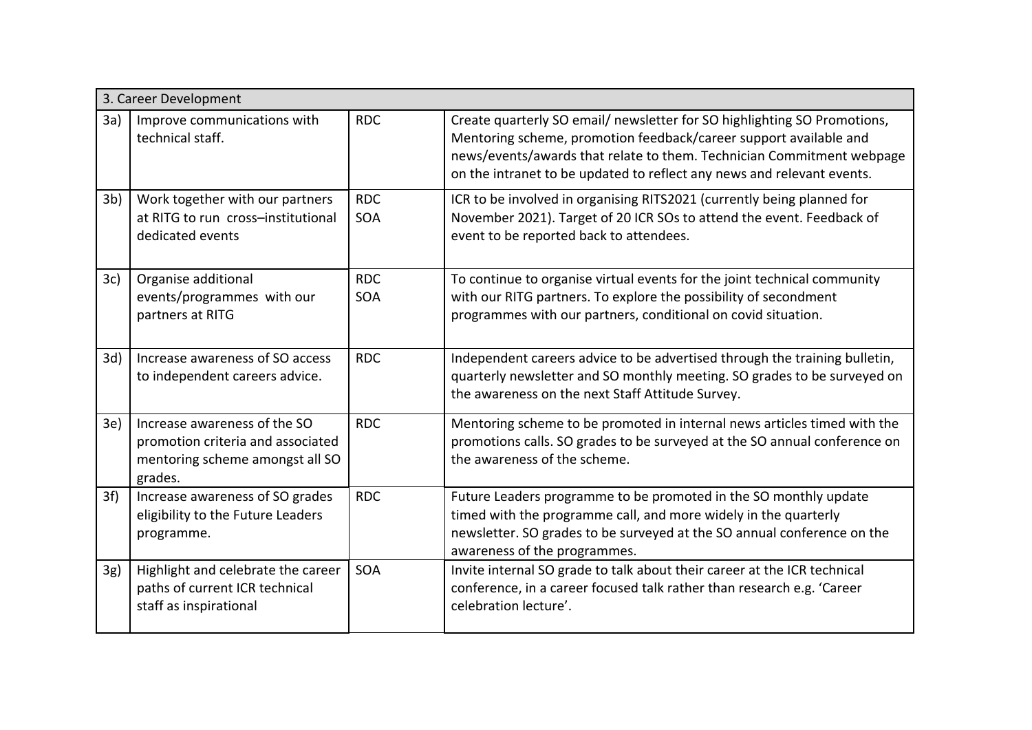|                | 3. Career Development                                                                                           |                          |                                                                                                                                                                                                                                                                                                  |  |
|----------------|-----------------------------------------------------------------------------------------------------------------|--------------------------|--------------------------------------------------------------------------------------------------------------------------------------------------------------------------------------------------------------------------------------------------------------------------------------------------|--|
| 3a)            | Improve communications with<br>technical staff.                                                                 | <b>RDC</b>               | Create quarterly SO email/ newsletter for SO highlighting SO Promotions,<br>Mentoring scheme, promotion feedback/career support available and<br>news/events/awards that relate to them. Technician Commitment webpage<br>on the intranet to be updated to reflect any news and relevant events. |  |
| 3 <sub>b</sub> | Work together with our partners<br>at RITG to run cross-institutional<br>dedicated events                       | <b>RDC</b><br>SOA        | ICR to be involved in organising RITS2021 (currently being planned for<br>November 2021). Target of 20 ICR SOs to attend the event. Feedback of<br>event to be reported back to attendees.                                                                                                       |  |
| 3c)            | Organise additional<br>events/programmes with our<br>partners at RITG                                           | <b>RDC</b><br><b>SOA</b> | To continue to organise virtual events for the joint technical community<br>with our RITG partners. To explore the possibility of secondment<br>programmes with our partners, conditional on covid situation.                                                                                    |  |
| 3d)            | Increase awareness of SO access<br>to independent careers advice.                                               | <b>RDC</b>               | Independent careers advice to be advertised through the training bulletin,<br>quarterly newsletter and SO monthly meeting. SO grades to be surveyed on<br>the awareness on the next Staff Attitude Survey.                                                                                       |  |
| 3e)            | Increase awareness of the SO<br>promotion criteria and associated<br>mentoring scheme amongst all SO<br>grades. | <b>RDC</b>               | Mentoring scheme to be promoted in internal news articles timed with the<br>promotions calls. SO grades to be surveyed at the SO annual conference on<br>the awareness of the scheme.                                                                                                            |  |
| 3f)            | Increase awareness of SO grades<br>eligibility to the Future Leaders<br>programme.                              | <b>RDC</b>               | Future Leaders programme to be promoted in the SO monthly update<br>timed with the programme call, and more widely in the quarterly<br>newsletter. SO grades to be surveyed at the SO annual conference on the<br>awareness of the programmes.                                                   |  |
| 3g)            | Highlight and celebrate the career<br>paths of current ICR technical<br>staff as inspirational                  | SOA                      | Invite internal SO grade to talk about their career at the ICR technical<br>conference, in a career focused talk rather than research e.g. 'Career<br>celebration lecture'.                                                                                                                      |  |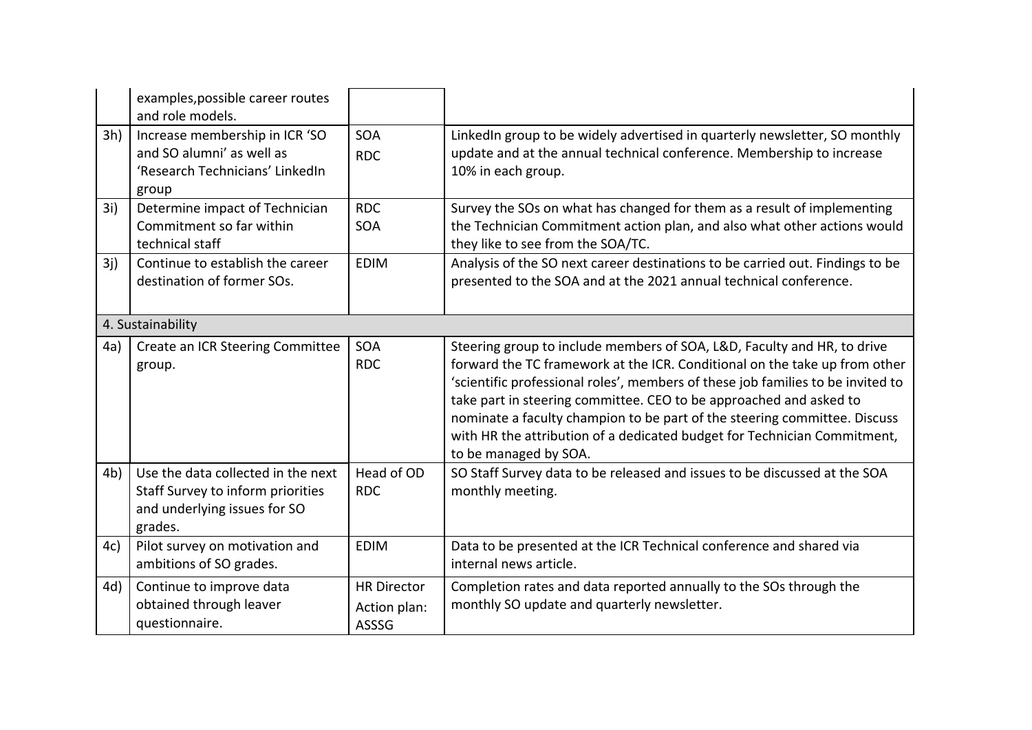|                   | examples, possible career routes<br>and role models.                                                               |                          |                                                                                                                                                                                                                                                                                                                                                                                                                                                                                                  |
|-------------------|--------------------------------------------------------------------------------------------------------------------|--------------------------|--------------------------------------------------------------------------------------------------------------------------------------------------------------------------------------------------------------------------------------------------------------------------------------------------------------------------------------------------------------------------------------------------------------------------------------------------------------------------------------------------|
| 3h)               | Increase membership in ICR 'SO<br>and SO alumni' as well as<br>'Research Technicians' LinkedIn<br>group            | <b>SOA</b><br><b>RDC</b> | LinkedIn group to be widely advertised in quarterly newsletter, SO monthly<br>update and at the annual technical conference. Membership to increase<br>10% in each group.                                                                                                                                                                                                                                                                                                                        |
| 3i)               | Determine impact of Technician<br>Commitment so far within<br>technical staff                                      | <b>RDC</b><br><b>SOA</b> | Survey the SOs on what has changed for them as a result of implementing<br>the Technician Commitment action plan, and also what other actions would<br>they like to see from the SOA/TC.                                                                                                                                                                                                                                                                                                         |
| 3i)               | Continue to establish the career<br>destination of former SOs.                                                     | <b>EDIM</b>              | Analysis of the SO next career destinations to be carried out. Findings to be<br>presented to the SOA and at the 2021 annual technical conference.                                                                                                                                                                                                                                                                                                                                               |
| 4. Sustainability |                                                                                                                    |                          |                                                                                                                                                                                                                                                                                                                                                                                                                                                                                                  |
| 4a)               | Create an ICR Steering Committee<br>group.                                                                         | SOA<br><b>RDC</b>        | Steering group to include members of SOA, L&D, Faculty and HR, to drive<br>forward the TC framework at the ICR. Conditional on the take up from other<br>'scientific professional roles', members of these job families to be invited to<br>take part in steering committee. CEO to be approached and asked to<br>nominate a faculty champion to be part of the steering committee. Discuss<br>with HR the attribution of a dedicated budget for Technician Commitment,<br>to be managed by SOA. |
| 4 <sub>b</sub>    | Use the data collected in the next<br>Staff Survey to inform priorities<br>and underlying issues for SO<br>grades. | Head of OD<br><b>RDC</b> | SO Staff Survey data to be released and issues to be discussed at the SOA<br>monthly meeting.                                                                                                                                                                                                                                                                                                                                                                                                    |
| 4c)               | Pilot survey on motivation and<br>ambitions of SO grades.                                                          | <b>EDIM</b>              | Data to be presented at the ICR Technical conference and shared via<br>internal news article.                                                                                                                                                                                                                                                                                                                                                                                                    |
|                   |                                                                                                                    |                          |                                                                                                                                                                                                                                                                                                                                                                                                                                                                                                  |